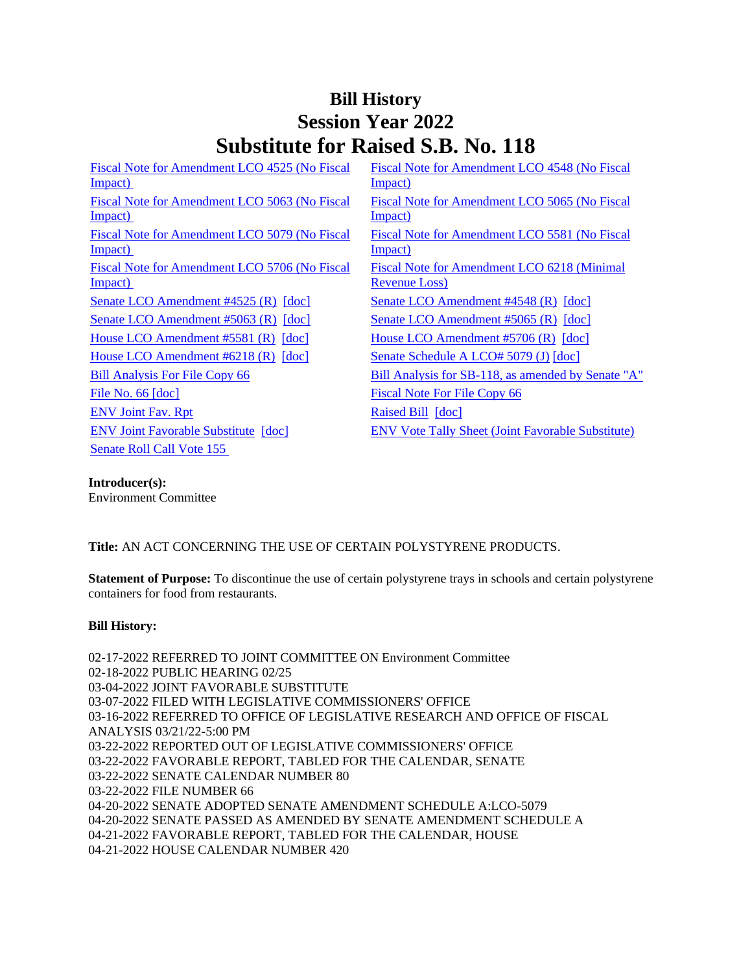# **Bill History Session Year 2022 Substitute for Raised S.B. No. 118**

| Fiscal Note for Amendment LCO 4525 (No Fiscal<br>(Impact) | Fiscal Note for Amendment LCO 4548 (No Fiscal<br>Impact)             |
|-----------------------------------------------------------|----------------------------------------------------------------------|
| Fiscal Note for Amendment LCO 5063 (No Fiscal<br>Impact)  | Fiscal Note for Amendment LCO 5065 (No Fiscal<br><u>Impact)</u>      |
| Fiscal Note for Amendment LCO 5079 (No Fiscal<br>Impact)  | Fiscal Note for Amendment LCO 5581 (No Fiscal<br>Impact)             |
| Fiscal Note for Amendment LCO 5706 (No Fiscal<br>Impact)  | Fiscal Note for Amendment LCO 6218 (Minimal<br><b>Revenue Loss</b> ) |
| Senate LCO Amendment #4525 (R) [doc]                      | Senate LCO Amendment #4548 (R) [doc]                                 |
| Senate LCO Amendment #5063 (R) [doc]                      | Senate LCO Amendment #5065 (R) [doc]                                 |
| House LCO Amendment $#5581$ (R) $[doc]$                   | House LCO Amendment #5706 (R) [doc]                                  |
| House LCO Amendment $#6218$ (R) $[doc]$                   | Senate Schedule A LCO# 5079 (J) [doc]                                |
| <b>Bill Analysis For File Copy 66</b>                     | Bill Analysis for SB-118, as amended by Senate "A"                   |
| File No. $66$ $[doc]$                                     | <b>Fiscal Note For File Copy 66</b>                                  |
| <b>ENV</b> Joint Fav. Rpt                                 | Raised Bill [doc]                                                    |
| <b>ENV Joint Favorable Substitute</b> [doc]               | <b>ENV Vote Tally Sheet (Joint Favorable Substitute)</b>             |
| Senate Roll Call Vote 155                                 |                                                                      |

#### **Introducer(s):**

Environment Committee

## **Title:** AN ACT CONCERNING THE USE OF CERTAIN POLYSTYRENE PRODUCTS.

**Statement of Purpose:** To discontinue the use of certain polystyrene trays in schools and certain polystyrene containers for food from restaurants.

#### **Bill History:**

02-17-2022 REFERRED TO JOINT COMMITTEE ON Environment Committee 02-18-2022 PUBLIC HEARING 02/25 03-04-2022 JOINT FAVORABLE SUBSTITUTE 03-07-2022 FILED WITH LEGISLATIVE COMMISSIONERS' OFFICE 03-16-2022 REFERRED TO OFFICE OF LEGISLATIVE RESEARCH AND OFFICE OF FISCAL ANALYSIS 03/21/22-5:00 PM 03-22-2022 REPORTED OUT OF LEGISLATIVE COMMISSIONERS' OFFICE 03-22-2022 FAVORABLE REPORT, TABLED FOR THE CALENDAR, SENATE 03-22-2022 SENATE CALENDAR NUMBER 80 03-22-2022 FILE NUMBER 66 04-20-2022 SENATE ADOPTED SENATE AMENDMENT SCHEDULE A:LCO-5079 04-20-2022 SENATE PASSED AS AMENDED BY SENATE AMENDMENT SCHEDULE A 04-21-2022 FAVORABLE REPORT, TABLED FOR THE CALENDAR, HOUSE 04-21-2022 HOUSE CALENDAR NUMBER 420